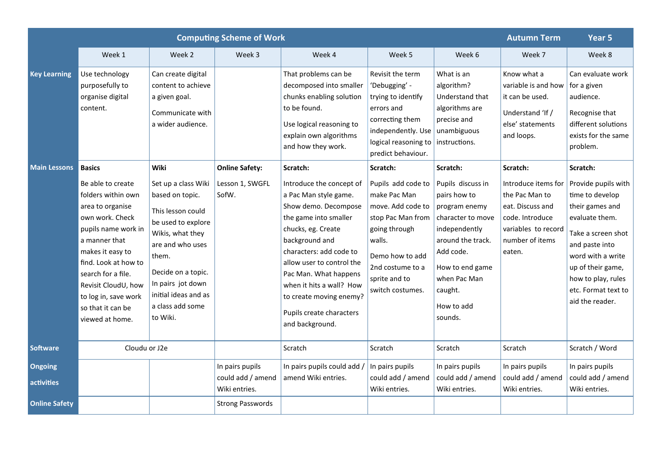| <b>Computing Scheme of Work</b>     |                                                                                                                                                                                                                                                                                                  |                                                                                                                                                                                                                                               |                                                       |                                                                                                                                                                                                                                                                                                                                               |                                                                                                                                                                                                 |                                                                                                                                                                                                               | <b>Autumn Term</b>                                                                                                                           | Year 5                                                                                                                                                                                                                                    |  |
|-------------------------------------|--------------------------------------------------------------------------------------------------------------------------------------------------------------------------------------------------------------------------------------------------------------------------------------------------|-----------------------------------------------------------------------------------------------------------------------------------------------------------------------------------------------------------------------------------------------|-------------------------------------------------------|-----------------------------------------------------------------------------------------------------------------------------------------------------------------------------------------------------------------------------------------------------------------------------------------------------------------------------------------------|-------------------------------------------------------------------------------------------------------------------------------------------------------------------------------------------------|---------------------------------------------------------------------------------------------------------------------------------------------------------------------------------------------------------------|----------------------------------------------------------------------------------------------------------------------------------------------|-------------------------------------------------------------------------------------------------------------------------------------------------------------------------------------------------------------------------------------------|--|
|                                     | Week 1                                                                                                                                                                                                                                                                                           | Week 2                                                                                                                                                                                                                                        | Week 3                                                | Week 4                                                                                                                                                                                                                                                                                                                                        | Week 5                                                                                                                                                                                          | Week 6                                                                                                                                                                                                        | Week 7                                                                                                                                       | Week 8                                                                                                                                                                                                                                    |  |
| <b>Key Learning</b>                 | Use technology<br>purposefully to<br>organise digital<br>content.                                                                                                                                                                                                                                | Can create digital<br>content to achieve<br>a given goal.<br>Communicate with<br>a wider audience.                                                                                                                                            |                                                       | That problems can be<br>Revisit the term<br>decomposed into smaller<br>'Debugging' -<br>chunks enabling solution<br>trying to identify<br>to be found.<br>errors and<br>correcting them<br>Use logical reasoning to<br>independently. Use<br>explain own algorithms<br>logical reasoning to<br>and how they work.<br>predict behaviour.       |                                                                                                                                                                                                 | What is an<br>algorithm?<br>Understand that<br>algorithms are<br>precise and<br>unambiguous<br>instructions.                                                                                                  | Know what a<br>variable is and how<br>it can be used.<br>Understand 'If /<br>else' statements<br>and loops.                                  | Can evaluate work<br>for a given<br>audience.<br>Recognise that<br>different solutions<br>exists for the same<br>problem.                                                                                                                 |  |
| <b>Main Lessons</b>                 | <b>Basics</b><br>Be able to create<br>folders within own<br>area to organise<br>own work. Check<br>pupils name work in<br>a manner that<br>makes it easy to<br>find. Look at how to<br>search for a file.<br>Revisit CloudU, how<br>to log in, save work<br>so that it can be<br>viewed at home. | Wiki<br>Set up a class Wiki<br>based on topic.<br>This lesson could<br>be used to explore<br>Wikis, what they<br>are and who uses<br>them.<br>Decide on a topic.<br>In pairs jot down<br>initial ideas and as<br>a class add some<br>to Wiki. | <b>Online Safety:</b><br>Lesson 1, SWGFL<br>SofW.     | Scratch:<br>Introduce the concept of<br>a Pac Man style game.<br>Show demo. Decompose<br>the game into smaller<br>chucks, eg. Create<br>background and<br>characters: add code to<br>allow user to control the<br>Pac Man. What happens<br>when it hits a wall? How<br>to create moving enemy?<br>Pupils create characters<br>and background. | Scratch:<br>Pupils add code to<br>make Pac Man<br>move. Add code to<br>stop Pac Man from<br>going through<br>walls.<br>Demo how to add<br>2nd costume to a<br>sprite and to<br>switch costumes. | Scratch:<br>Pupils discuss in<br>pairs how to<br>program enemy<br>character to move<br>independently<br>around the track.<br>Add code.<br>How to end game<br>when Pac Man<br>caught.<br>How to add<br>sounds. | Scratch:<br>Introduce items for<br>the Pac Man to<br>eat. Discuss and<br>code. Introduce<br>variables to record<br>number of items<br>eaten. | Scratch:<br>Provide pupils with<br>time to develop<br>their games and<br>evaluate them.<br>Take a screen shot<br>and paste into<br>word with a write<br>up of their game,<br>how to play, rules<br>etc. Format text to<br>aid the reader. |  |
| <b>Software</b>                     | Cloudu or J2e                                                                                                                                                                                                                                                                                    |                                                                                                                                                                                                                                               |                                                       | Scratch                                                                                                                                                                                                                                                                                                                                       | Scratch                                                                                                                                                                                         | Scratch                                                                                                                                                                                                       | Scratch                                                                                                                                      | Scratch / Word                                                                                                                                                                                                                            |  |
| <b>Ongoing</b><br><b>activities</b> |                                                                                                                                                                                                                                                                                                  |                                                                                                                                                                                                                                               | In pairs pupils<br>could add / amend<br>Wiki entries. | In pairs pupils could add /<br>amend Wiki entries.                                                                                                                                                                                                                                                                                            | In pairs pupils<br>could add / amend<br>Wiki entries.                                                                                                                                           | In pairs pupils<br>could add / amend<br>Wiki entries.                                                                                                                                                         | In pairs pupils<br>could add / amend<br>Wiki entries.                                                                                        | In pairs pupils<br>could add / amend<br>Wiki entries.                                                                                                                                                                                     |  |
| <b>Online Safety</b>                |                                                                                                                                                                                                                                                                                                  |                                                                                                                                                                                                                                               | <b>Strong Passwords</b>                               |                                                                                                                                                                                                                                                                                                                                               |                                                                                                                                                                                                 |                                                                                                                                                                                                               |                                                                                                                                              |                                                                                                                                                                                                                                           |  |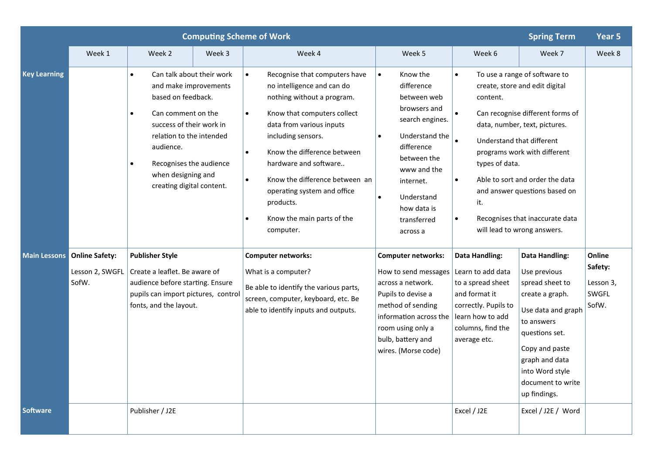| <b>Computing Scheme of Work</b> |                                                                                                                                                                                                                                                                |                                                                                                                                                              |        |                                                                                                                                                                                                                                                                                                                                                                                                                 |                                                                                                                                                                                                                                                    |                                                                                                                                                                                                                                                                                                                                                                                                                     | <b>Spring Term</b>                                                                                                                                                                                                            | Year 5                                           |
|---------------------------------|----------------------------------------------------------------------------------------------------------------------------------------------------------------------------------------------------------------------------------------------------------------|--------------------------------------------------------------------------------------------------------------------------------------------------------------|--------|-----------------------------------------------------------------------------------------------------------------------------------------------------------------------------------------------------------------------------------------------------------------------------------------------------------------------------------------------------------------------------------------------------------------|----------------------------------------------------------------------------------------------------------------------------------------------------------------------------------------------------------------------------------------------------|---------------------------------------------------------------------------------------------------------------------------------------------------------------------------------------------------------------------------------------------------------------------------------------------------------------------------------------------------------------------------------------------------------------------|-------------------------------------------------------------------------------------------------------------------------------------------------------------------------------------------------------------------------------|--------------------------------------------------|
|                                 | Week 1                                                                                                                                                                                                                                                         | Week 2                                                                                                                                                       | Week 3 | Week 4                                                                                                                                                                                                                                                                                                                                                                                                          | Week 5                                                                                                                                                                                                                                             | Week 6                                                                                                                                                                                                                                                                                                                                                                                                              | Week 7                                                                                                                                                                                                                        | Week 8                                           |
| <b>Key Learning</b>             | Can talk about their work<br>$\bullet$<br>and make improvements<br>based on feedback.<br>Can comment on the<br>success of their work in<br>relation to the intended<br>audience.<br>Recognises the audience<br>when designing and<br>creating digital content. |                                                                                                                                                              |        | Recognise that computers have<br>$\bullet$<br>no intelligence and can do<br>nothing without a program.<br>Know that computers collect<br>$\bullet$<br>data from various inputs<br>including sensors.<br>Know the difference between<br>$\bullet$<br>hardware and software<br>Know the difference between an<br>$\bullet$<br>operating system and office<br>products.<br>Know the main parts of the<br>computer. | Know the<br>$\bullet$<br>difference<br>between web<br>browsers and<br>search engines.<br>Understand the<br>$\bullet$<br>difference<br>between the<br>www and the<br>internet.<br>Understand<br>$\bullet$<br>how data is<br>transferred<br>across a | To use a range of software to<br>$\bullet$<br>create, store and edit digital<br>content.<br>Can recognise different forms of<br>data, number, text, pictures.<br>Understand that different<br>programs work with different<br>types of data.<br>Able to sort and order the data<br>$\bullet$<br>and answer questions based on<br>it.<br>Recognises that inaccurate data<br>$\bullet$<br>will lead to wrong answers. |                                                                                                                                                                                                                               |                                                  |
| <b>Main Lessons</b>             | <b>Online Safety:</b><br>Lesson 2, SWGFL<br>SofW.                                                                                                                                                                                                              | <b>Publisher Style</b><br>Create a leaflet. Be aware of<br>audience before starting. Ensure<br>pupils can import pictures, control<br>fonts, and the layout. |        | <b>Computer networks:</b><br>What is a computer?<br>Be able to identify the various parts,<br>screen, computer, keyboard, etc. Be<br>able to identify inputs and outputs.                                                                                                                                                                                                                                       | <b>Computer networks:</b><br>How to send messages $ $<br>across a network.<br>Pupils to devise a<br>method of sending<br>information across the<br>room using only a<br>bulb, battery and<br>wires. (Morse code)                                   | <b>Data Handling:</b><br>Learn to add data<br>to a spread sheet<br>and format it<br>correctly. Pupils to<br>learn how to add<br>columns, find the<br>average etc.                                                                                                                                                                                                                                                   | <b>Data Handling:</b><br>Use previous<br>spread sheet to<br>create a graph.<br>Use data and graph<br>to answers<br>questions set.<br>Copy and paste<br>graph and data<br>into Word style<br>document to write<br>up findings. | Online<br>Safety:<br>Lesson 3,<br>SWGFL<br>SofW. |
| <b>Software</b>                 |                                                                                                                                                                                                                                                                | Publisher / J2E                                                                                                                                              |        |                                                                                                                                                                                                                                                                                                                                                                                                                 |                                                                                                                                                                                                                                                    | Excel / J2E                                                                                                                                                                                                                                                                                                                                                                                                         | Excel / J2E / Word                                                                                                                                                                                                            |                                                  |